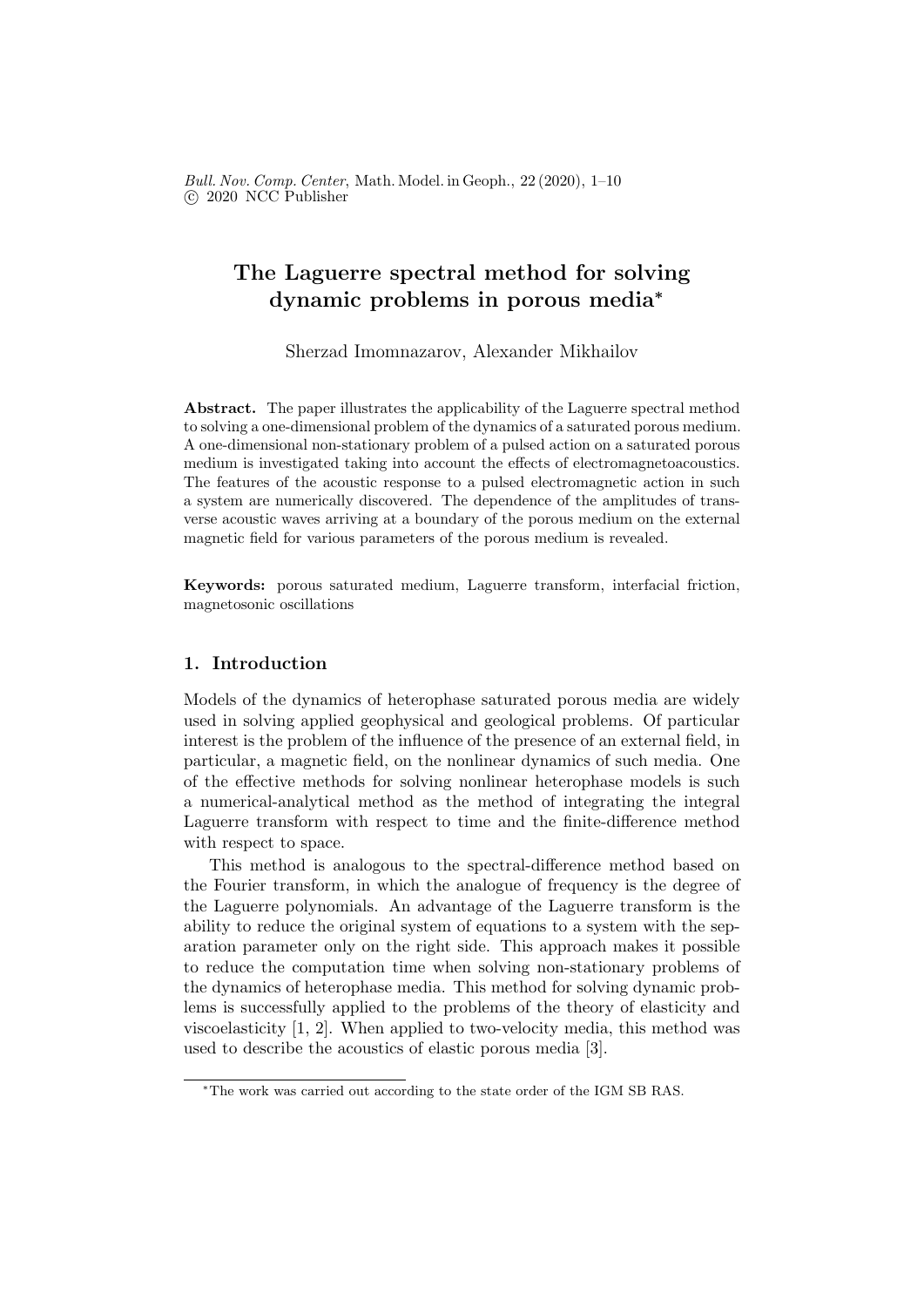# The Laguerre spectral method for solving dynamic problems in porous media<sup>∗</sup>

Sherzad Imomnazarov, Alexander Mikhailov

Abstract. The paper illustrates the applicability of the Laguerre spectral method to solving a one-dimensional problem of the dynamics of a saturated porous medium. A one-dimensional non-stationary problem of a pulsed action on a saturated porous medium is investigated taking into account the effects of electromagnetoacoustics. The features of the acoustic response to a pulsed electromagnetic action in such a system are numerically discovered. The dependence of the amplitudes of transverse acoustic waves arriving at a boundary of the porous medium on the external magnetic field for various parameters of the porous medium is revealed.

Keywords: porous saturated medium, Laguerre transform, interfacial friction, magnetosonic oscillations

### 1. Introduction

Models of the dynamics of heterophase saturated porous media are widely used in solving applied geophysical and geological problems. Of particular interest is the problem of the influence of the presence of an external field, in particular, a magnetic field, on the nonlinear dynamics of such media. One of the effective methods for solving nonlinear heterophase models is such a numerical-analytical method as the method of integrating the integral Laguerre transform with respect to time and the finite-difference method with respect to space.

This method is analogous to the spectral-difference method based on the Fourier transform, in which the analogue of frequency is the degree of the Laguerre polynomials. An advantage of the Laguerre transform is the ability to reduce the original system of equations to a system with the separation parameter only on the right side. This approach makes it possible to reduce the computation time when solving non-stationary problems of the dynamics of heterophase media. This method for solving dynamic problems is successfully applied to the problems of the theory of elasticity and viscoelasticity [1, 2]. When applied to two-velocity media, this method was used to describe the acoustics of elastic porous media [3].

<sup>∗</sup>The work was carried out according to the state order of the IGM SB RAS.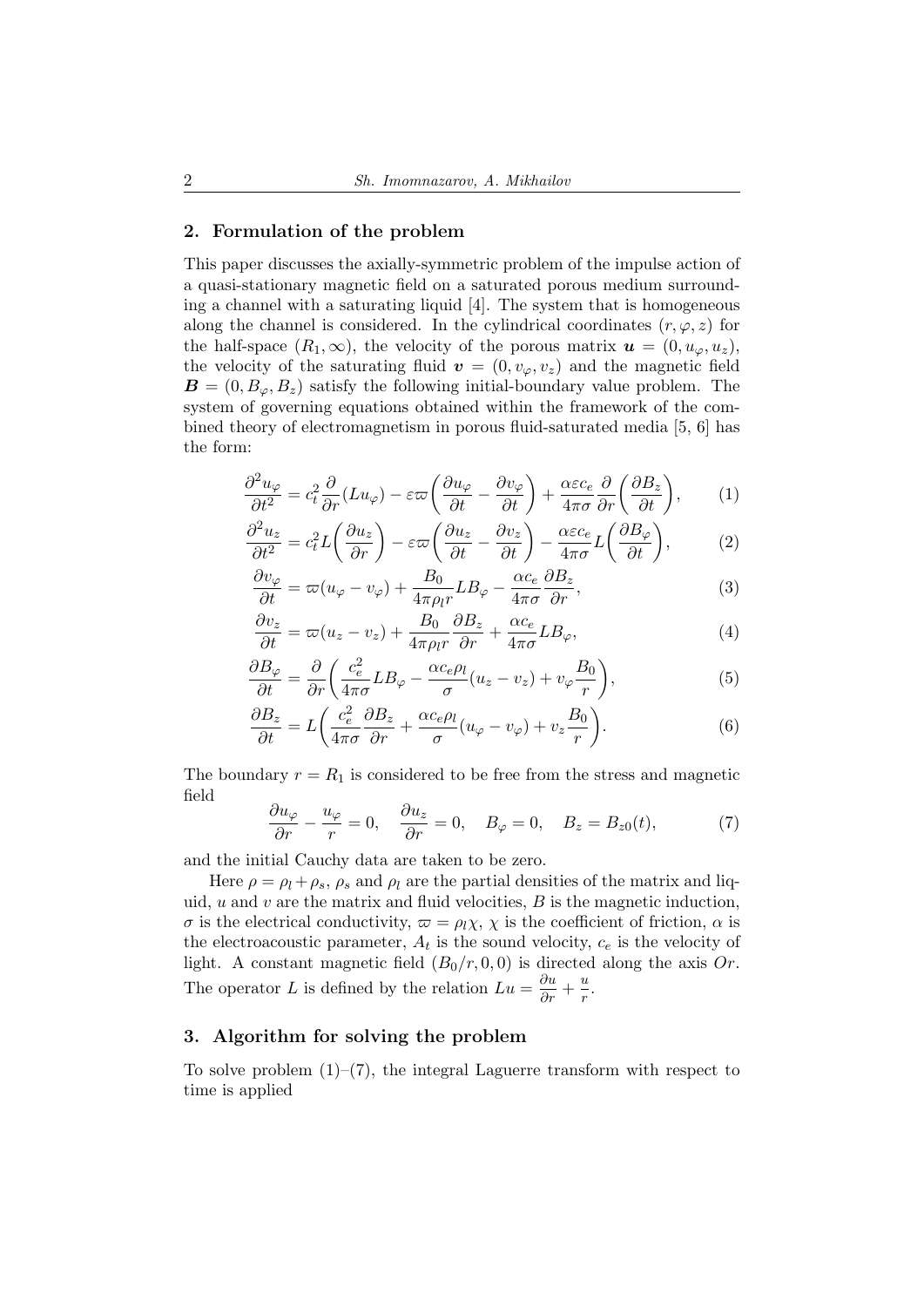#### 2. Formulation of the problem

This paper discusses the axially-symmetric problem of the impulse action of a quasi-stationary magnetic field on a saturated porous medium surrounding a channel with a saturating liquid [4]. The system that is homogeneous along the channel is considered. In the cylindrical coordinates  $(r, \varphi, z)$  for the half-space  $(R_1, \infty)$ , the velocity of the porous matrix  $u = (0, u_{\varphi}, u_z)$ , the velocity of the saturating fluid  $\mathbf{v} = (0, v_{\varphi}, v_z)$  and the magnetic field  $\mathbf{B} = (0, B_{\varphi}, B_{z})$  satisfy the following initial-boundary value problem. The system of governing equations obtained within the framework of the combined theory of electromagnetism in porous fluid-saturated media [5, 6] has the form:

$$
\frac{\partial^2 u_{\varphi}}{\partial t^2} = c_t^2 \frac{\partial}{\partial r} (Lu_{\varphi}) - \varepsilon \varpi \left( \frac{\partial u_{\varphi}}{\partial t} - \frac{\partial v_{\varphi}}{\partial t} \right) + \frac{\alpha \varepsilon c_e}{4\pi \sigma} \frac{\partial}{\partial r} \left( \frac{\partial B_z}{\partial t} \right), \tag{1}
$$

$$
\frac{\partial^2 u_z}{\partial t^2} = c_t^2 L \left( \frac{\partial u_z}{\partial r} \right) - \varepsilon \varpi \left( \frac{\partial u_z}{\partial t} - \frac{\partial v_z}{\partial t} \right) - \frac{\alpha \varepsilon c_e}{4\pi \sigma} L \left( \frac{\partial B_\varphi}{\partial t} \right),\tag{2}
$$

$$
\frac{\partial v_{\varphi}}{\partial t} = \varpi (u_{\varphi} - v_{\varphi}) + \frac{B_0}{4\pi \rho_l r} L B_{\varphi} - \frac{\alpha c_e}{4\pi \sigma} \frac{\partial B_z}{\partial r},\tag{3}
$$

$$
\frac{\partial v_z}{\partial t} = \varpi (u_z - v_z) + \frac{B_0}{4\pi \rho_l r} \frac{\partial B_z}{\partial r} + \frac{\alpha c_e}{4\pi \sigma} L B_\varphi, \tag{4}
$$

$$
\frac{\partial B_{\varphi}}{\partial t} = \frac{\partial}{\partial r} \left( \frac{c_e^2}{4\pi\sigma} L B_{\varphi} - \frac{\alpha c_e \rho_l}{\sigma} (u_z - v_z) + v_{\varphi} \frac{B_0}{r} \right),\tag{5}
$$

$$
\frac{\partial B_z}{\partial t} = L \bigg( \frac{c_e^2}{4\pi\sigma} \frac{\partial B_z}{\partial r} + \frac{\alpha c_e \rho_l}{\sigma} (u_\varphi - v_\varphi) + v_z \frac{B_0}{r} \bigg). \tag{6}
$$

The boundary  $r = R_1$  is considered to be free from the stress and magnetic field

$$
\frac{\partial u_{\varphi}}{\partial r} - \frac{u_{\varphi}}{r} = 0, \quad \frac{\partial u_{z}}{\partial r} = 0, \quad B_{\varphi} = 0, \quad B_{z} = B_{z0}(t), \tag{7}
$$

and the initial Cauchy data are taken to be zero.

Here  $\rho = \rho_l + \rho_s$ ,  $\rho_s$  and  $\rho_l$  are the partial densities of the matrix and liquid,  $u$  and  $v$  are the matrix and fluid velocities,  $B$  is the magnetic induction,  $\sigma$  is the electrical conductivity,  $\omega = \rho_l \chi$ ,  $\chi$  is the coefficient of friction,  $\alpha$  is the electroacoustic parameter,  $A_t$  is the sound velocity,  $c_e$  is the velocity of light. A constant magnetic field  $(B_0/r, 0, 0)$  is directed along the axis Or. The operator L is defined by the relation  $Lu = \frac{\partial u}{\partial r} + \frac{u}{r}$  $\frac{u}{r}$ .

### 3. Algorithm for solving the problem

To solve problem  $(1)$ – $(7)$ , the integral Laguerre transform with respect to time is applied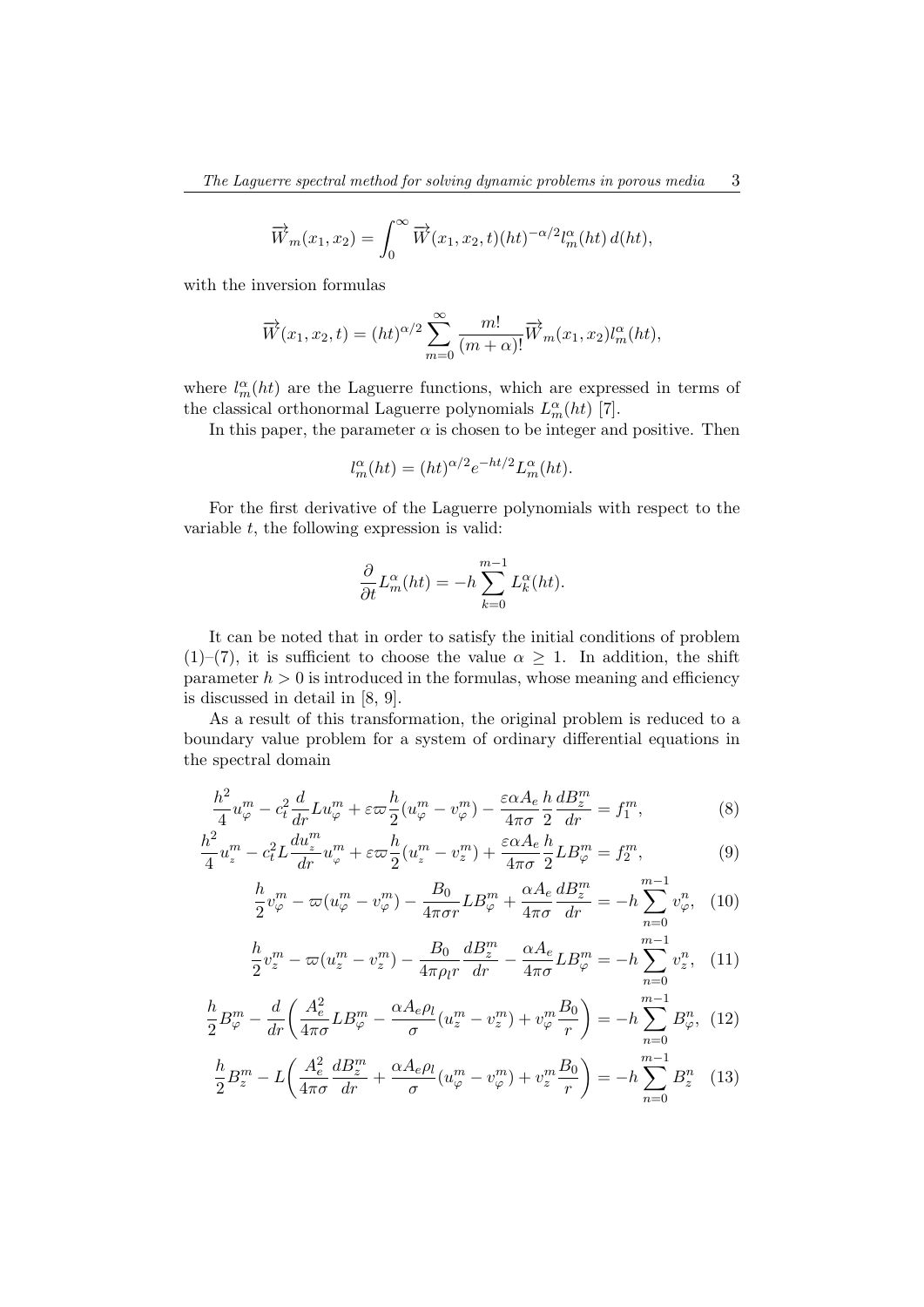$$
\overrightarrow{W}_m(x_1, x_2) = \int_0^\infty \overrightarrow{W}(x_1, x_2, t) (ht)^{-\alpha/2} l_m^{\alpha}(ht) d(ht),
$$

with the inversion formulas

$$
\overrightarrow{W}(x_1, x_2, t) = (ht)^{\alpha/2} \sum_{m=0}^{\infty} \frac{m!}{(m+\alpha)!} \overrightarrow{W}_m(x_1, x_2) l_m^{\alpha}(ht),
$$

where  $l_m^{\alpha}(ht)$  are the Laguerre functions, which are expressed in terms of the classical orthonormal Laguerre polynomials  $L_m^{\alpha}(ht)$  [7].

In this paper, the parameter  $\alpha$  is chosen to be integer and positive. Then

$$
l_m^{\alpha}(ht) = (ht)^{\alpha/2} e^{-ht/2} L_m^{\alpha}(ht).
$$

For the first derivative of the Laguerre polynomials with respect to the variable  $t$ , the following expression is valid:

$$
\frac{\partial}{\partial t}L_m^{\alpha}(ht) = -h \sum_{k=0}^{m-1} L_k^{\alpha}(ht).
$$

It can be noted that in order to satisfy the initial conditions of problem (1)–(7), it is sufficient to choose the value  $\alpha \geq 1$ . In addition, the shift parameter  $h > 0$  is introduced in the formulas, whose meaning and efficiency is discussed in detail in [8, 9].

As a result of this transformation, the original problem is reduced to a boundary value problem for a system of ordinary differential equations in the spectral domain

$$
\frac{h^2}{4}u_{\varphi}^m - c_t^2 \frac{d}{dr}Lu_{\varphi}^m + \varepsilon \varpi \frac{h}{2}(u_{\varphi}^m - v_{\varphi}^m) - \frac{\varepsilon \alpha A_e}{4\pi \sigma} \frac{h}{2} \frac{dB_z^m}{dr} = f_1^m,\tag{8}
$$

$$
\frac{h^2}{4}u_z^m - c_t^2 L \frac{du_z^m}{dr}u_\varphi^m + \varepsilon \varpi \frac{h}{2}(u_z^m - v_z^m) + \frac{\varepsilon \alpha A_e}{4\pi \sigma} \frac{h}{2} L B_\varphi^m = f_2^m,\tag{9}
$$

$$
\frac{h}{2}v_{\varphi}^{m} - \varpi(u_{\varphi}^{m} - v_{\varphi}^{m}) - \frac{B_{0}}{4\pi\sigma r}LB_{\varphi}^{m} + \frac{\alpha A_{e}}{4\pi\sigma}\frac{dB_{z}^{m}}{dr} = -h\sum_{n=0}^{m-1}v_{\varphi}^{n}, \quad (10)
$$

$$
\frac{h}{2}v_z^m - \varpi(u_z^m - v_z^m) - \frac{B_0}{4\pi \rho_l r} \frac{dB_z^m}{dr} - \frac{\alpha A_e}{4\pi \sigma} L B_{\varphi}^m = -h \sum_{n=0}^{m-1} v_z^n, \quad (11)
$$

$$
\frac{h}{2}B_{\varphi}^m - \frac{d}{dr}\left(\frac{A_e^2}{4\pi\sigma}LB_{\varphi}^m - \frac{\alpha A_e\rho_l}{\sigma}(u_z^m - v_z^m) + v_{\varphi}^m \frac{B_0}{r}\right) = -h\sum_{n=0}^{m-1}B_{\varphi}^n, (12)
$$

$$
\frac{h}{2}B_z^m - L\left(\frac{A_e^2}{4\pi\sigma}\frac{dB_z^m}{dr} + \frac{\alpha A_e \rho_l}{\sigma}(u_{\varphi}^m - v_{\varphi}^m) + v_z^m \frac{B_0}{r}\right) = -h\sum_{n=0}^{m-1} B_z^n \quad (13)
$$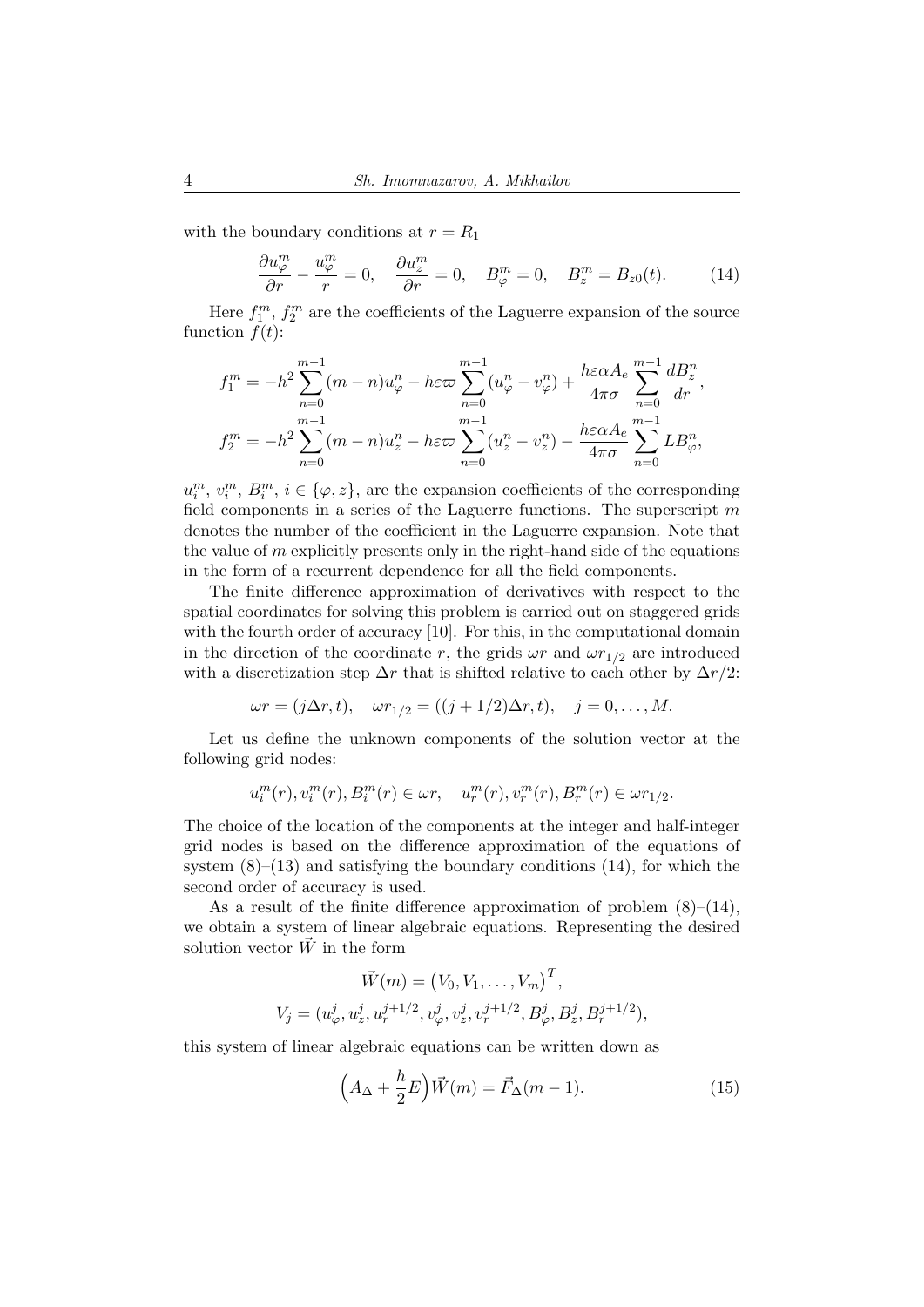with the boundary conditions at  $r = R_1$ 

$$
\frac{\partial u_{\varphi}^{m}}{\partial r} - \frac{u_{\varphi}^{m}}{r} = 0, \quad \frac{\partial u_{z}^{m}}{\partial r} = 0, \quad B_{\varphi}^{m} = 0, \quad B_{z}^{m} = B_{z0}(t). \tag{14}
$$

Here  $f_1^m$ ,  $f_2^m$  are the coefficients of the Laguerre expansion of the source function  $f(t)$ :

$$
f_1^m = -h^2 \sum_{n=0}^{m-1} (m-n)u_{\varphi}^n - h\varepsilon \varpi \sum_{n=0}^{m-1} (u_{\varphi}^n - v_{\varphi}^n) + \frac{h\varepsilon \alpha A_e}{4\pi \sigma} \sum_{n=0}^{m-1} \frac{dB_z^n}{dr},
$$
  

$$
f_2^m = -h^2 \sum_{n=0}^{m-1} (m-n)u_z^n - h\varepsilon \varpi \sum_{n=0}^{m-1} (u_z^n - v_z^n) - \frac{h\varepsilon \alpha A_e}{4\pi \sigma} \sum_{n=0}^{m-1} L B_{\varphi}^n,
$$

 $u_i^m, v_i^m, B_i^m, i \in {\varphi, z}$ , are the expansion coefficients of the corresponding field components in a series of the Laguerre functions. The superscript  $m$ denotes the number of the coefficient in the Laguerre expansion. Note that the value of  $m$  explicitly presents only in the right-hand side of the equations in the form of a recurrent dependence for all the field components.

The finite difference approximation of derivatives with respect to the spatial coordinates for solving this problem is carried out on staggered grids with the fourth order of accuracy [10]. For this, in the computational domain in the direction of the coordinate r, the grids  $\omega r$  and  $\omega r_{1/2}$  are introduced with a discretization step  $\Delta r$  that is shifted relative to each other by  $\Delta r/2$ :

$$
\omega r = (j\Delta r, t), \quad \omega r_{1/2} = ((j + 1/2)\Delta r, t), \quad j = 0, ..., M.
$$

Let us define the unknown components of the solution vector at the following grid nodes:

$$
u_i^m(r), v_i^m(r), B_i^m(r) \in \omega r, \quad u_r^m(r), v_r^m(r), B_r^m(r) \in \omega r_{1/2}.
$$

The choice of the location of the components at the integer and half-integer grid nodes is based on the difference approximation of the equations of system  $(8)$ – $(13)$  and satisfying the boundary conditions  $(14)$ , for which the second order of accuracy is used.

As a result of the finite difference approximation of problem  $(8)$ – $(14)$ , we obtain a system of linear algebraic equations. Representing the desired solution vector  $\vec{W}$  in the form

$$
\vec{W}(m) = (V_0, V_1, \dots, V_m)^T,
$$
  
\n
$$
V_j = (u^j_{\varphi}, u^j_z, u^{j+1/2}, v^j_{\varphi}, v^j_z, v^{j+1/2}, B^j_{\varphi}, B^j_z, B^{j+1/2}_r),
$$

this system of linear algebraic equations can be written down as

$$
\left(A_{\Delta} + \frac{h}{2}E\right)\vec{W}(m) = \vec{F}_{\Delta}(m-1). \tag{15}
$$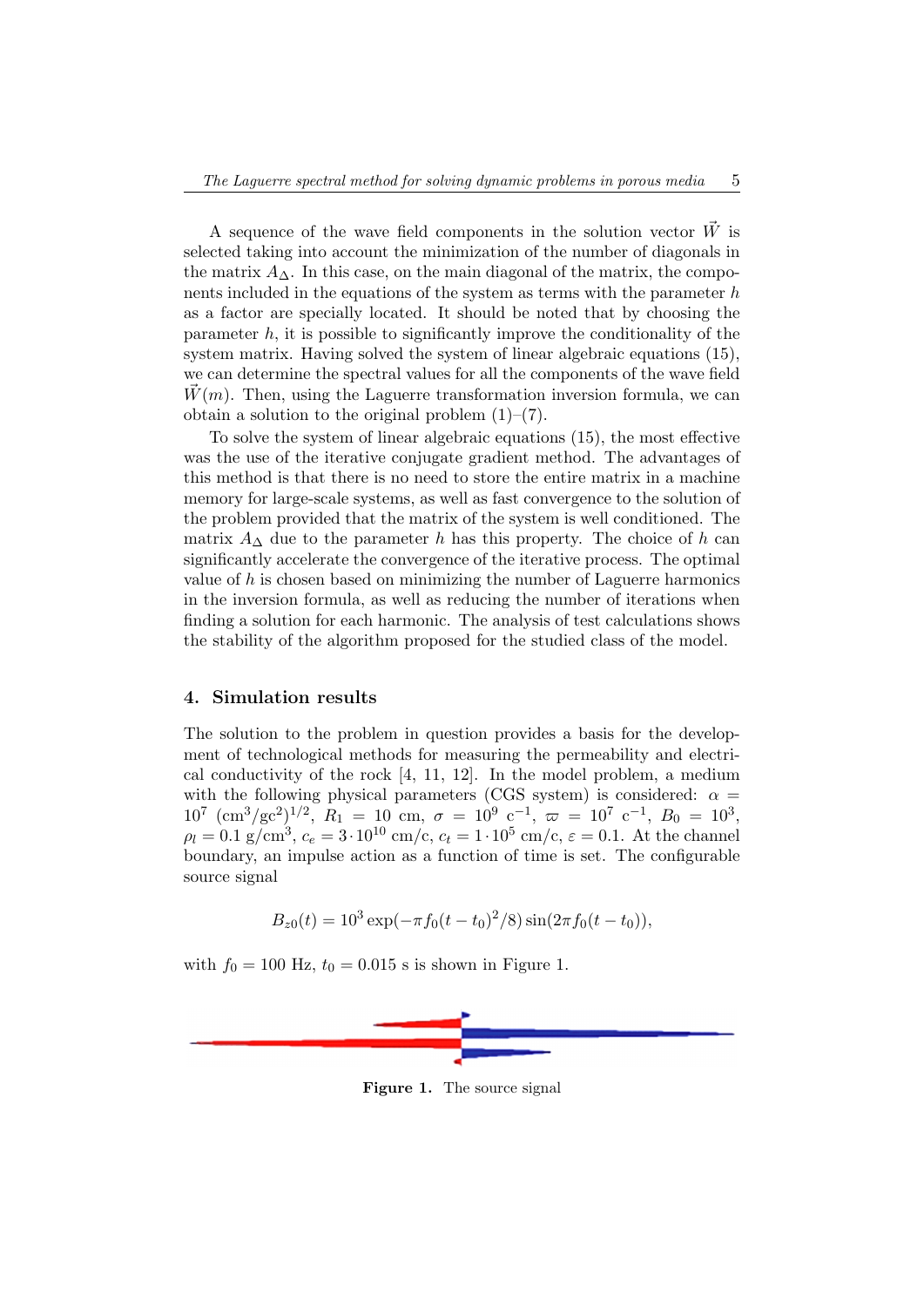A sequence of the wave field components in the solution vector  $\vec{W}$  is selected taking into account the minimization of the number of diagonals in the matrix  $A_{\Delta}$ . In this case, on the main diagonal of the matrix, the components included in the equations of the system as terms with the parameter  $h$ as a factor are specially located. It should be noted that by choosing the parameter  $h$ , it is possible to significantly improve the conditionality of the system matrix. Having solved the system of linear algebraic equations (15), we can determine the spectral values for all the components of the wave field  $\bar{W}(m)$ . Then, using the Laguerre transformation inversion formula, we can obtain a solution to the original problem  $(1)$ – $(7)$ .

To solve the system of linear algebraic equations (15), the most effective was the use of the iterative conjugate gradient method. The advantages of this method is that there is no need to store the entire matrix in a machine memory for large-scale systems, as well as fast convergence to the solution of the problem provided that the matrix of the system is well conditioned. The matrix  $A_{\Delta}$  due to the parameter h has this property. The choice of h can significantly accelerate the convergence of the iterative process. The optimal value of  $h$  is chosen based on minimizing the number of Laguerre harmonics in the inversion formula, as well as reducing the number of iterations when finding a solution for each harmonic. The analysis of test calculations shows the stability of the algorithm proposed for the studied class of the model.

#### 4. Simulation results

The solution to the problem in question provides a basis for the development of technological methods for measuring the permeability and electrical conductivity of the rock [4, 11, 12]. In the model problem, a medium with the following physical parameters (CGS system) is considered:  $\alpha =$  $10^7 \text{ (cm}^3\text{/gc}^2\text{)}^{1/2}, R_1 = 10 \text{ cm}, \sigma = 10^9 \text{ c}^{-1}, \omega = 10^7 \text{ c}^{-1}, B_0 = 10^3,$  $\rho_l = 0.1 \text{ g/cm}^3, c_e = 3 \cdot 10^{10} \text{ cm/c}, c_t = 1 \cdot 10^5 \text{ cm/c}, \epsilon = 0.1.$  At the channel boundary, an impulse action as a function of time is set. The configurable source signal

$$
B_{z0}(t) = 10^3 \exp(-\pi f_0 (t - t_0)^2 / 8) \sin(2\pi f_0 (t - t_0)),
$$

with  $f_0 = 100$  Hz,  $t_0 = 0.015$  s is shown in Figure 1.



Figure 1. The source signal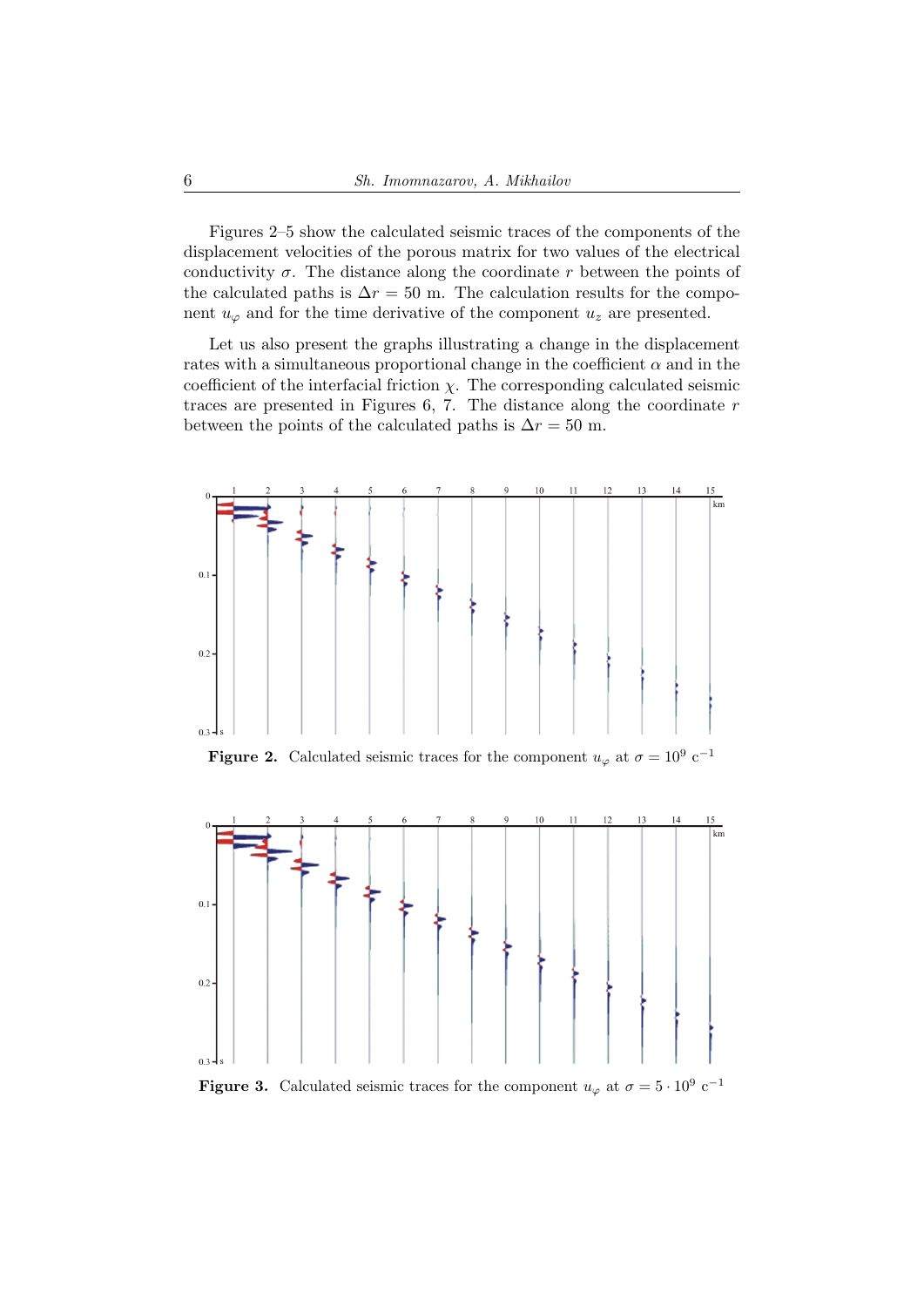Figures 2–5 show the calculated seismic traces of the components of the displacement velocities of the porous matrix for two values of the electrical conductivity  $\sigma$ . The distance along the coordinate r between the points of the calculated paths is  $\Delta r = 50$  m. The calculation results for the component  $u_{\varphi}$  and for the time derivative of the component  $u_z$  are presented.

Let us also present the graphs illustrating a change in the displacement rates with a simultaneous proportional change in the coefficient  $\alpha$  and in the coefficient of the interfacial friction  $\chi$ . The corresponding calculated seismic traces are presented in Figures  $6, 7$ . The distance along the coordinate  $r$ between the points of the calculated paths is  $\Delta r = 50$  m.



**Figure 2.** Calculated seismic traces for the component  $u_{\varphi}$  at  $\sigma = 10^9 \text{ c}^{-1}$ 



**Figure 3.** Calculated seismic traces for the component  $u_{\varphi}$  at  $\sigma = 5 \cdot 10^9 \text{ c}^{-1}$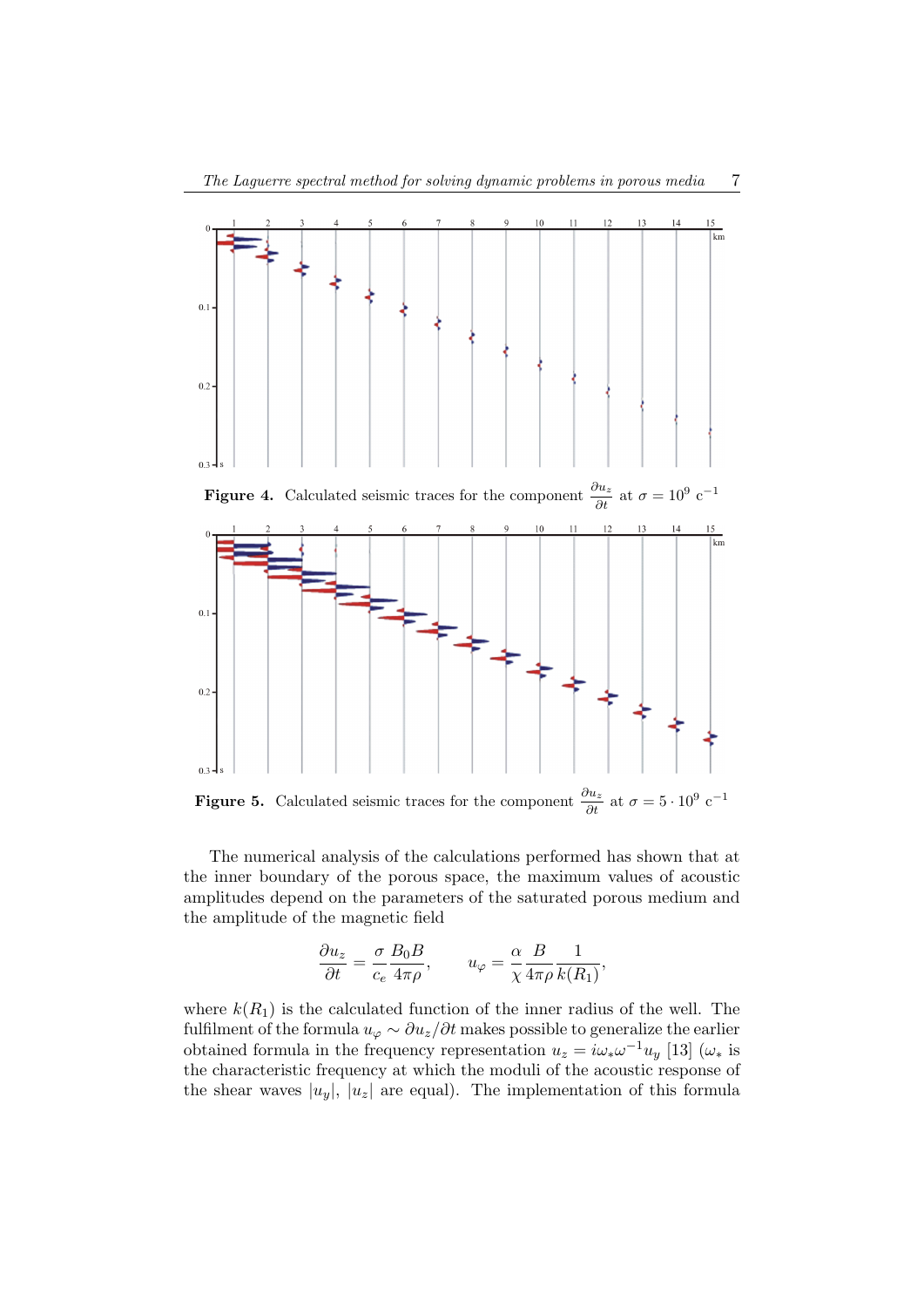

**Figure 5.** Calculated seismic traces for the component  $\frac{\partial u_z}{\partial t}$  at  $\sigma = 5 \cdot 10^9 \text{ c}^{-1}$ 

The numerical analysis of the calculations performed has shown that at the inner boundary of the porous space, the maximum values of acoustic amplitudes depend on the parameters of the saturated porous medium and the amplitude of the magnetic field

$$
\frac{\partial u_z}{\partial t} = \frac{\sigma}{c_e} \frac{B_0 B}{4\pi \rho}, \qquad u_\varphi = \frac{\alpha}{\chi} \frac{B}{4\pi \rho} \frac{1}{k(R_1)},
$$

where  $k(R_1)$  is the calculated function of the inner radius of the well. The fulfilment of the formula  $u_{\varphi} \sim \partial u_z/\partial t$  makes possible to generalize the earlier obtained formula in the frequency representation  $u_z = i\omega_*\omega^{-1}u_y$  [13]  $(\omega_*$  is the characteristic frequency at which the moduli of the acoustic response of the shear waves  $|u_y|, |u_z|$  are equal). The implementation of this formula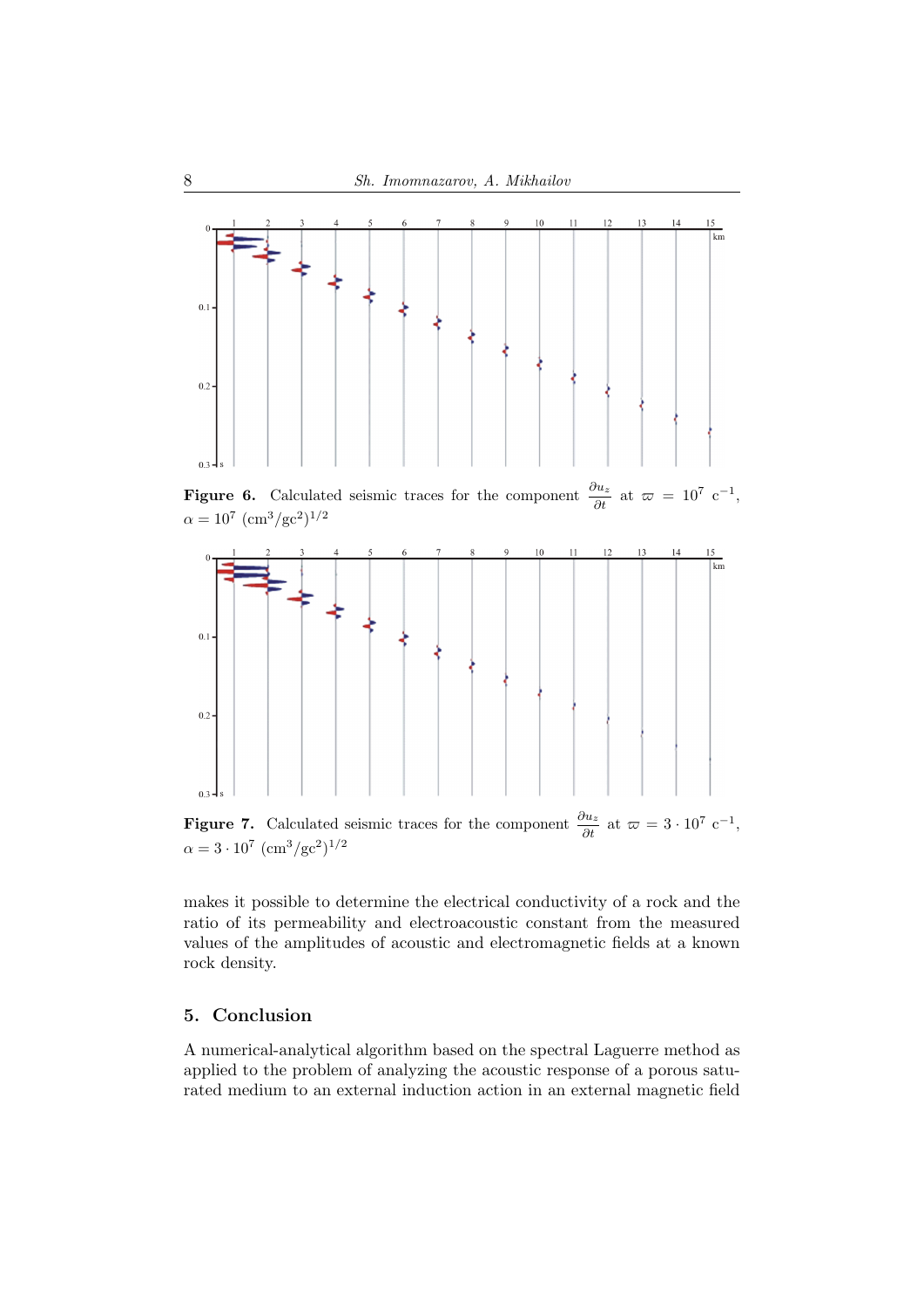

**Figure 6.** Calculated seismic traces for the component  $\frac{\partial u_z}{\partial t}$  at  $\varpi = 10^7 \text{ c}^{-1}$ ,  $\alpha = 10^7~(\text{cm}^3/\text{gc}^2)^{1/2}$ 



**Figure 7.** Calculated seismic traces for the component  $\frac{\partial u_z}{\partial t}$  at  $\varpi = 3 \cdot 10^7 \text{ c}^{-1}$ ,  $\alpha = 3 \cdot 10^7 \; (\text{cm}^3/\text{gc}^2)^{1/2}$ 

makes it possible to determine the electrical conductivity of a rock and the ratio of its permeability and electroacoustic constant from the measured values of the amplitudes of acoustic and electromagnetic fields at a known rock density.

## 5. Conclusion

A numerical-analytical algorithm based on the spectral Laguerre method as applied to the problem of analyzing the acoustic response of a porous saturated medium to an external induction action in an external magnetic field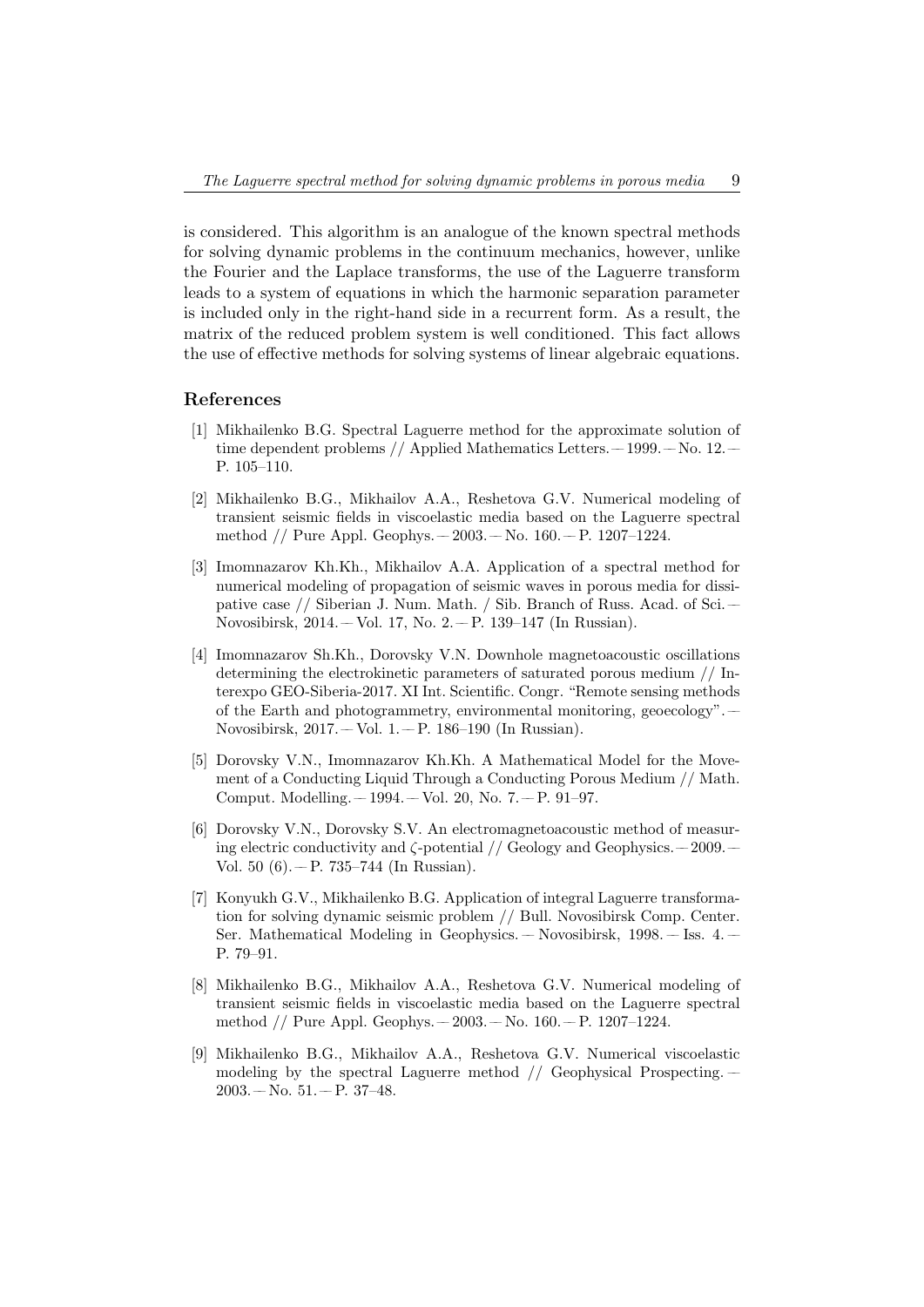is considered. This algorithm is an analogue of the known spectral methods for solving dynamic problems in the continuum mechanics, however, unlike the Fourier and the Laplace transforms, the use of the Laguerre transform leads to a system of equations in which the harmonic separation parameter is included only in the right-hand side in a recurrent form. As a result, the matrix of the reduced problem system is well conditioned. This fact allows the use of effective methods for solving systems of linear algebraic equations.

#### References

- [1] Mikhailenko B.G. Spectral Laguerre method for the approximate solution of time dependent problems // Applied Mathematics Letters. –1999. – No. 12. – P. 105–110.
- [2] Mikhailenko B.G., Mikhailov A.A., Reshetova G.V. Numerical modeling of transient seismic fields in viscoelastic media based on the Laguerre spectral method // Pure Appl. Geophys. –– 2003. –– No. 160. –– P. 1207–1224.
- [3] Imomnazarov Kh.Kh., Mikhailov A.A. Application of a spectral method for numerical modeling of propagation of seismic waves in porous media for dissipative case // Siberian J. Num. Math. / Sib. Branch of Russ. Acad. of Sci. –– Novosibirsk, 2014. –– Vol. 17, No. 2. –– P. 139–147 (In Russian).
- [4] Imomnazarov Sh.Kh., Dorovsky V.N. Downhole magnetoacoustic oscillations determining the electrokinetic parameters of saturated porous medium // Interexpo GEO-Siberia-2017. XI Int. Scientific. Congr. "Remote sensing methods of the Earth and photogrammetry, environmental monitoring, geoecology". –– Novosibirsk, 2017. –– Vol. 1. –– P. 186–190 (In Russian).
- [5] Dorovsky V.N., Imomnazarov Kh.Kh. A Mathematical Model for the Movement of a Conducting Liquid Through a Conducting Porous Medium // Math. Comput. Modelling. –– 1994. –– Vol. 20, No. 7. –– P. 91–97.
- [6] Dorovsky V.N., Dorovsky S.V. An electromagnetoacoustic method of measuring electric conductivity and  $\zeta$ -potential // Geology and Geophysics. ––2009. Vol. 50  $(6)$ . -- P. 735-744 (In Russian).
- [7] Konyukh G.V., Mikhailenko B.G. Application of integral Laguerre transformation for solving dynamic seismic problem // Bull. Novosibirsk Comp. Center. Ser. Mathematical Modeling in Geophysics. –– Novosibirsk, 1998. –– Iss. 4. –– P. 79–91.
- [8] Mikhailenko B.G., Mikhailov A.A., Reshetova G.V. Numerical modeling of transient seismic fields in viscoelastic media based on the Laguerre spectral method // Pure Appl. Geophys. –– 2003. –– No. 160. –– P. 1207–1224.
- [9] Mikhailenko B.G., Mikhailov A.A., Reshetova G.V. Numerical viscoelastic modeling by the spectral Laguerre method  $//$  Geophysical Prospecting. –  $2003 - No. 51 - P. 37 - 48.$